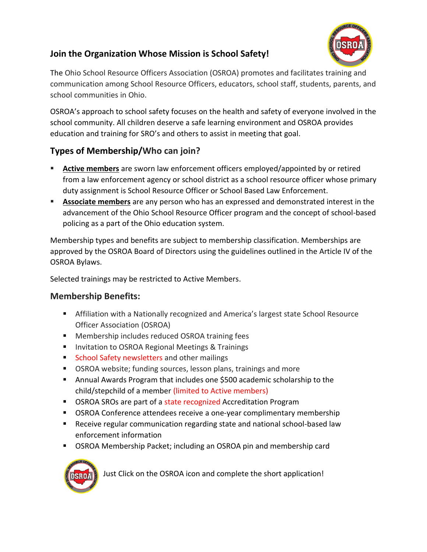## **Join the Organization Whose Mission is School Safety!**



The Ohio School Resource Officers Association (OSROA) promotes and facilitates training and communication among School Resource Officers, educators, school staff, students, parents, and school communities in Ohio.

OSROA's approach to school safety focuses on the health and safety of everyone involved in the school community. All children deserve a safe learning environment and OSROA provides education and training for SRO's and others to assist in meeting that goal.

## **Types of Membership/Who can join?**

- Active members are sworn law enforcement officers employed/appointed by or retired from a law enforcement agency or school district as a school resource officer whose primary duty assignment is School Resource Officer or School Based Law Enforcement.
- **EXEDENTIFY Associate members** are any person who has an expressed and demonstrated interest in the advancement of the Ohio School Resource Officer program and the concept of school-based policing as a part of the Ohio education system.

Membership types and benefits are subject to membership classification. Memberships are approved by the OSROA Board of Directors using the guidelines outlined in the Article IV of the OSROA Bylaws.

Selected trainings may be restricted to Active Members.

## **Membership Benefits:**

- Affiliation with a Nationally recognized and America's largest state School Resource Officer Association (OSROA)
- Membership includes reduced OSROA training fees
- Invitation to OSROA Regional Meetings & Trainings
- School Safety newsletters and other mailings
- OSROA website; funding sources, lesson plans, trainings and more
- Annual Awards Program that includes one \$500 academic scholarship to the child/stepchild of a member (limited to Active members)
- OSROA SROs are part of a state recognized Accreditation Program
- **OSROA Conference attendees receive a one-year complimentary membership**
- Receive regular communication regarding state and national school-based law enforcement information
- OSROA Membership Packet; including an OSROA pin and membership card



Just Click on the OSROA icon and complete the short application!